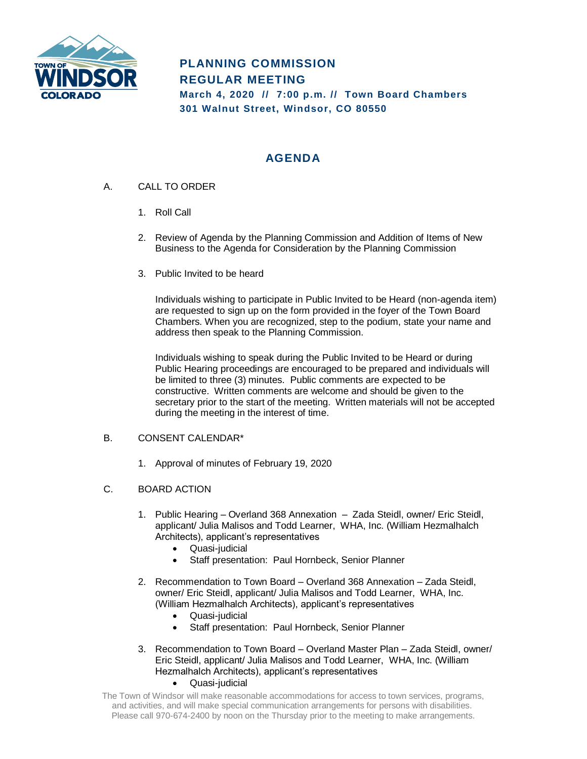

# **PLANNING COMMISSION REGULAR MEETING March 4, 2020 // 7:00 p.m. // Town Board Chambers 301 Walnut Street, Windsor, CO 80550**

## **AGENDA**

- A. CALL TO ORDER
	- 1. Roll Call
	- 2. Review of Agenda by the Planning Commission and Addition of Items of New Business to the Agenda for Consideration by the Planning Commission
	- 3. Public Invited to be heard

Individuals wishing to participate in Public Invited to be Heard (non-agenda item) are requested to sign up on the form provided in the foyer of the Town Board Chambers. When you are recognized, step to the podium, state your name and address then speak to the Planning Commission.

Individuals wishing to speak during the Public Invited to be Heard or during Public Hearing proceedings are encouraged to be prepared and individuals will be limited to three (3) minutes. Public comments are expected to be constructive. Written comments are welcome and should be given to the secretary prior to the start of the meeting. Written materials will not be accepted during the meeting in the interest of time.

## B. CONSENT CALENDAR\*

1. Approval of minutes of February 19, 2020

## C. BOARD ACTION

- 1. Public Hearing Overland 368 Annexation Zada Steidl, owner/ Eric Steidl, applicant/ Julia Malisos and Todd Learner, WHA, Inc. (William Hezmalhalch Architects), applicant's representatives
	- Quasi-judicial
	- Staff presentation: Paul Hornbeck, Senior Planner
- 2. Recommendation to Town Board Overland 368 Annexation Zada Steidl, owner/ Eric Steidl, applicant/ Julia Malisos and Todd Learner, WHA, Inc. (William Hezmalhalch Architects), applicant's representatives
	- Quasi-judicial
	- Staff presentation: Paul Hornbeck, Senior Planner
- 3. Recommendation to Town Board Overland Master Plan Zada Steidl, owner/ Eric Steidl, applicant/ Julia Malisos and Todd Learner, WHA, Inc. (William Hezmalhalch Architects), applicant's representatives
	- Quasi-judicial
- The Town of Windsor will make reasonable accommodations for access to town services, programs, and activities, and will make special communication arrangements for persons with disabilities. Please call 970-674-2400 by noon on the Thursday prior to the meeting to make arrangements.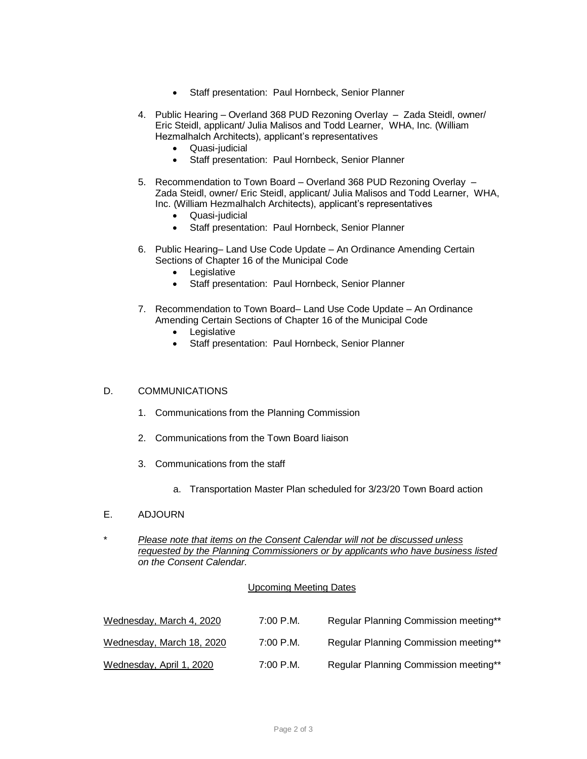- Staff presentation: Paul Hornbeck, Senior Planner
- 4. Public Hearing Overland 368 PUD Rezoning Overlay Zada Steidl, owner/ Eric Steidl, applicant/ Julia Malisos and Todd Learner, WHA, Inc. (William Hezmalhalch Architects), applicant's representatives
	- Quasi-judicial
	- Staff presentation: Paul Hornbeck, Senior Planner
- 5. Recommendation to Town Board Overland 368 PUD Rezoning Overlay Zada Steidl, owner/ Eric Steidl, applicant/ Julia Malisos and Todd Learner, WHA, Inc. (William Hezmalhalch Architects), applicant's representatives
	- Quasi-judicial
	- Staff presentation: Paul Hornbeck, Senior Planner
- 6. Public Hearing– Land Use Code Update An Ordinance Amending Certain Sections of Chapter 16 of the Municipal Code
	- Legislative
	- Staff presentation: Paul Hornbeck, Senior Planner
- 7. Recommendation to Town Board– Land Use Code Update An Ordinance Amending Certain Sections of Chapter 16 of the Municipal Code
	- Legislative
	- Staff presentation: Paul Hornbeck, Senior Planner

#### D. COMMUNICATIONS

- 1. Communications from the Planning Commission
- 2. Communications from the Town Board liaison
- 3. Communications from the staff
	- a. Transportation Master Plan scheduled for 3/23/20 Town Board action
- E. ADJOURN
- \* *Please note that items on the Consent Calendar will not be discussed unless requested by the Planning Commissioners or by applicants who have business listed on the Consent Calendar.*

#### Upcoming Meeting Dates

| Wednesday, March 4, 2020  | $7:00$ P.M. | Regular Planning Commission meeting** |
|---------------------------|-------------|---------------------------------------|
| Wednesday, March 18, 2020 | $7:00$ P.M. | Regular Planning Commission meeting** |
| Wednesday, April 1, 2020  | $7:00$ P.M. | Regular Planning Commission meeting** |